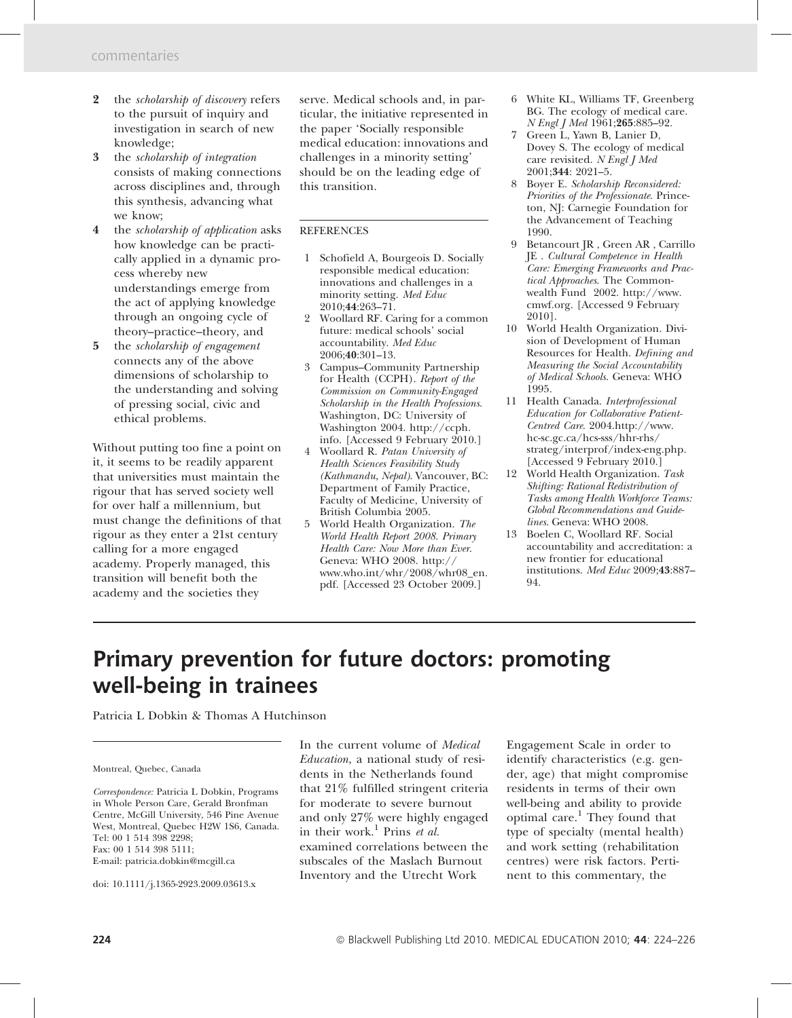- 2 the *scholarship of discovery* refers to the pursuit of inquiry and investigation in search of new knowledge;
- 3 the scholarship of integration consists of making connections across disciplines and, through this synthesis, advancing what we know;
- 4 the *scholarship* of *application* asks how knowledge can be practically applied in a dynamic process whereby new understandings emerge from the act of applying knowledge through an ongoing cycle of theory–practice–theory, and
- 5 the scholarship of engagement connects any of the above dimensions of scholarship to the understanding and solving of pressing social, civic and ethical problems.

Without putting too fine a point on it, it seems to be readily apparent that universities must maintain the rigour that has served society well for over half a millennium, but must change the definitions of that rigour as they enter a 21st century calling for a more engaged academy. Properly managed, this transition will benefit both the academy and the societies they

serve. Medical schools and, in particular, the initiative represented in the paper 'Socially responsible medical education: innovations and challenges in a minority setting' should be on the leading edge of this transition.

## **REFERENCES**

- 1 Schofield A, Bourgeois D. Socially responsible medical education: innovations and challenges in a minority setting. Med Educ 2010;44:263–71.
- 2 Woollard RF. Caring for a common future: medical schools' social accountability. Med Educ 2006;40:301–13.
- 3 Campus–Community Partnership for Health (CCPH). Report of the Commission on Community-Engaged Scholarship in the Health Professions. Washington, DC: University of Washington 2004. http://ccph. info. [Accessed 9 February 2010.]
- 4 Woollard R. Patan University of Health Sciences Feasibility Study (Kathmandu, Nepal). Vancouver, BC: Department of Family Practice, Faculty of Medicine, University of British Columbia 2005.
- 5 World Health Organization. The World Health Report 2008. Primary Health Care: Now More than Ever. Geneva: WHO 2008. http:// www.who.int/whr/2008/whr08\_en. pdf. [Accessed 23 October 2009.]
- 6 White KL, Williams TF, Greenberg BG. The ecology of medical care. N Engl J Med 1961;265:885–92.
- 7 Green L, Yawn B, Lanier D, Dovey S. The ecology of medical care revisited. N Engl J Med 2001;344: 2021–5.
- 8 Boyer E. Scholarship Reconsidered: Priorities of the Professionate. Princeton, NJ: Carnegie Foundation for the Advancement of Teaching 1990.
- 9 Betancourt JR , Green AR , Carrillo JE . Cultural Competence in Health Care: Emerging Frameworks and Practical Approaches. The Commonwealth Fund 2002. http://www. cmwf.org. [Accessed 9 February 2010].
- 10 World Health Organization. Division of Development of Human Resources for Health. Defining and Measuring the Social Accountability of Medical Schools. Geneva: WHO 1995.
- 11 Health Canada. Interprofessional Education for Collaborative Patient-Centred Care. 2004.http://www. hc-sc.gc.ca/hcs-sss/hhr-rhs/ strateg/interprof/index-eng.php. [Accessed 9 February 2010.]
- 12 World Health Organization. Task Shifting: Rational Redistribution of Tasks among Health Workforce Teams: Global Recommendations and Guidelines. Geneva: WHO 2008.
- 13 Boelen C, Woollard RF. Social accountability and accreditation: a new frontier for educational institutions. Med Educ 2009;43:887– 94.

## Primary prevention for future doctors: promoting well-being in trainees

Patricia L Dobkin & Thomas A Hutchinson

## Montreal, Quebec, Canada

Correspondence: Patricia L Dobkin, Programs in Whole Person Care, Gerald Bronfman Centre, McGill University, 546 Pine Avenue West, Montreal, Quebec H2W 1S6, Canada. Tel: 00 1 514 398 2298; Fax: 00 1 514 398 5111; E-mail: patricia.dobkin@mcgill.ca

doi: 10.1111/j.1365-2923.2009.03613.x

In the current volume of Medical Education, a national study of residents in the Netherlands found that 21% fulfilled stringent criteria for moderate to severe burnout and only 27% were highly engaged in their work.<sup>1</sup> Prins et al. examined correlations between the subscales of the Maslach Burnout Inventory and the Utrecht Work

Engagement Scale in order to identify characteristics (e.g. gender, age) that might compromise residents in terms of their own well-being and ability to provide optimal care.<sup>1</sup> They found that type of specialty (mental health) and work setting (rehabilitation centres) were risk factors. Pertinent to this commentary, the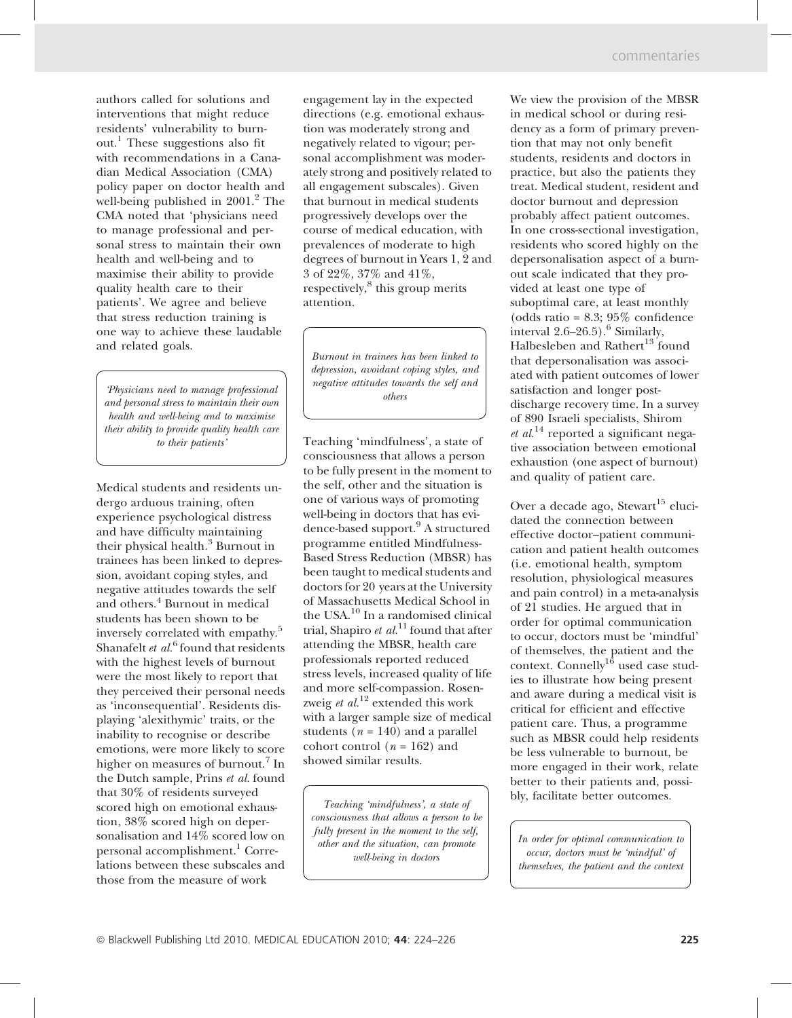authors called for solutions and interventions that might reduce residents' vulnerability to burnout.<sup>1</sup> These suggestions also fit with recommendations in a Canadian Medical Association (CMA) policy paper on doctor health and well-being published in  $2001<sup>2</sup>$  The CMA noted that 'physicians need to manage professional and personal stress to maintain their own health and well-being and to maximise their ability to provide quality health care to their patients'. We agree and believe that stress reduction training is one way to achieve these laudable and related goals.

'Physicians need to manage professional and personal stress to maintain their own health and well-being and to maximise their ability to provide quality health care to their patients'

Medical students and residents undergo arduous training, often experience psychological distress and have difficulty maintaining their physical health.<sup>3</sup> Burnout in trainees has been linked to depression, avoidant coping styles, and negative attitudes towards the self and others.<sup>4</sup> Burnout in medical students has been shown to be inversely correlated with empathy.<sup>5</sup> Shanafelt et  $al<sup>6</sup>$  found that residents with the highest levels of burnout were the most likely to report that they perceived their personal needs as 'inconsequential'. Residents displaying 'alexithymic' traits, or the inability to recognise or describe emotions, were more likely to score higher on measures of burnout.<sup>7</sup> In the Dutch sample, Prins et al. found that 30% of residents surveyed scored high on emotional exhaustion, 38% scored high on depersonalisation and 14% scored low on personal accomplishment.<sup>1</sup> Correlations between these subscales and those from the measure of work

engagement lay in the expected directions (e.g. emotional exhaustion was moderately strong and negatively related to vigour; personal accomplishment was moderately strong and positively related to all engagement subscales). Given that burnout in medical students progressively develops over the course of medical education, with prevalences of moderate to high degrees of burnout in Years 1, 2 and 3 of 22%, 37% and 41%, respectively,<sup>8</sup> this group merits attention.

Burnout in trainees has been linked to depression, avoidant coping styles, and negative attitudes towards the self and others

Teaching 'mindfulness', a state of consciousness that allows a person to be fully present in the moment to the self, other and the situation is one of various ways of promoting well-being in doctors that has evidence-based support.<sup>9</sup> A structured programme entitled Mindfulness-Based Stress Reduction (MBSR) has been taught to medical students and doctors for 20 years at the University of Massachusetts Medical School in the USA.<sup>10</sup> In a randomised clinical trial, Shapiro et  $al^{11}$  found that after attending the MBSR, health care professionals reported reduced stress levels, increased quality of life and more self-compassion. Rosenzweig et  $al$ .<sup>12</sup> extended this work with a larger sample size of medical students ( $n = 140$ ) and a parallel cohort control ( $n = 162$ ) and showed similar results.

Teaching 'mindfulness', a state of consciousness that allows a person to be fully present in the moment to the self, other and the situation, can promote well-being in doctors

We view the provision of the MBSR in medical school or during residency as a form of primary prevention that may not only benefit students, residents and doctors in practice, but also the patients they treat. Medical student, resident and doctor burnout and depression probably affect patient outcomes. In one cross-sectional investigation, residents who scored highly on the depersonalisation aspect of a burnout scale indicated that they provided at least one type of suboptimal care, at least monthly (odds ratio = 8.3; 95% confidence interval  $2.6-26.5$ ).<sup>6</sup> Similarly, Halbesleben and Rathert<sup>13</sup> found that depersonalisation was associated with patient outcomes of lower satisfaction and longer postdischarge recovery time. In a survey of 890 Israeli specialists, Shirom  $et al.<sup>14</sup>$  reported a significant negative association between emotional exhaustion (one aspect of burnout) and quality of patient care.

Over a decade ago, Stewart<sup>15</sup> elucidated the connection between effective doctor–patient communication and patient health outcomes (i.e. emotional health, symptom resolution, physiological measures and pain control) in a meta-analysis of 21 studies. He argued that in order for optimal communication to occur, doctors must be 'mindful' of themselves, the patient and the context. Connelly<sup>16</sup> used case studies to illustrate how being present and aware during a medical visit is critical for efficient and effective patient care. Thus, a programme such as MBSR could help residents be less vulnerable to burnout, be more engaged in their work, relate better to their patients and, possibly, facilitate better outcomes.

In order for optimal communication to occur, doctors must be 'mindful' of themselves, the patient and the context